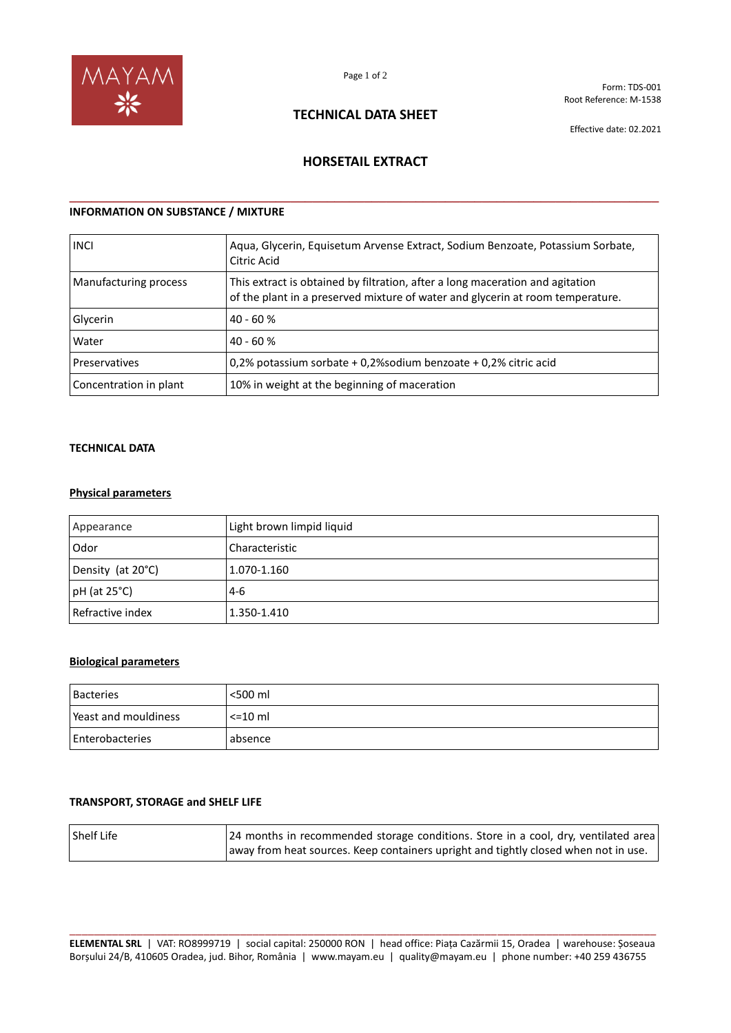

Form: TDS-001 Root Reference: M-1538

# **TECHNICAL DATA SHEET**

Effective date: 02.2021

## **HORSETAIL EXTRACT**

**\_\_\_\_\_\_\_\_\_\_\_\_\_\_\_\_\_\_\_\_\_\_\_\_\_\_\_\_\_\_\_\_\_\_\_\_\_\_\_\_\_\_\_\_\_\_\_\_\_\_\_\_\_\_\_\_\_\_\_\_\_\_\_\_\_\_\_\_\_\_\_\_\_\_\_\_\_\_\_\_**

## **INFORMATION ON SUBSTANCE / MIXTURE**

| <b>INCI</b>            | Aqua, Glycerin, Equisetum Arvense Extract, Sodium Benzoate, Potassium Sorbate,<br>Citric Acid                                                                   |
|------------------------|-----------------------------------------------------------------------------------------------------------------------------------------------------------------|
| Manufacturing process  | This extract is obtained by filtration, after a long maceration and agitation<br>of the plant in a preserved mixture of water and glycerin at room temperature. |
| Glycerin               | $40 - 60%$                                                                                                                                                      |
| Water                  | $40 - 60%$                                                                                                                                                      |
| Preservatives          | 0.2% potassium sorbate + 0.2% sodium benzoate + 0.2% citric acid                                                                                                |
| Concentration in plant | 10% in weight at the beginning of maceration                                                                                                                    |

#### **TECHNICAL DATA**

### **Physical parameters**

| Appearance         | Light brown limpid liquid |
|--------------------|---------------------------|
| Odor               | Characteristic            |
| Density (at 20°C)  | 1.070-1.160               |
| $pH$ (at 25 $°C$ ) | $4-6$                     |
| Refractive index   | 1.350-1.410               |

### **Biological parameters**

| <b>Bacteries</b>     | <500 ml      |
|----------------------|--------------|
| Peast and mouldiness | $\leq$ 10 ml |
| Enterobacteries      | absence      |

#### **TRANSPORT, STORAGE and SHELF LIFE**

| Shelf Life | [24 months in recommended storage conditions. Store in a cool, dry, ventilated area |
|------------|-------------------------------------------------------------------------------------|
|            | away from heat sources. Keep containers upright and tightly closed when not in use. |